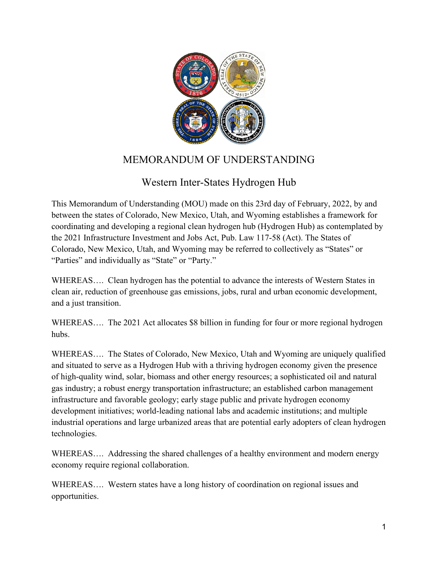

# MEMORANDUM OF UNDERSTANDING

## Western Inter-States Hydrogen Hub

This Memorandum of Understanding (MOU) made on this 23rd day of February, 2022, by and between the states of Colorado, New Mexico, Utah, and Wyoming establishes a framework for coordinating and developing a regional clean hydrogen hub (Hydrogen Hub) as contemplated by the 2021 Infrastructure Investment and Jobs Act, Pub. Law 117-58 (Act). The States of Colorado, New Mexico, Utah, and Wyoming may be referred to collectively as "States" or "Parties" and individually as "State" or "Party."

WHEREAS…. Clean hydrogen has the potential to advance the interests of Western States in clean air, reduction of greenhouse gas emissions, jobs, rural and urban economic development, and a just transition.

WHEREAS.... The 2021 Act allocates \$8 billion in funding for four or more regional hydrogen hubs.

WHEREAS…. The States of Colorado, New Mexico, Utah and Wyoming are uniquely qualified and situated to serve as a Hydrogen Hub with a thriving hydrogen economy given the presence of high-quality wind, solar, biomass and other energy resources; a sophisticated oil and natural gas industry; a robust energy transportation infrastructure; an established carbon management infrastructure and favorable geology; early stage public and private hydrogen economy development initiatives; world-leading national labs and academic institutions; and multiple industrial operations and large urbanized areas that are potential early adopters of clean hydrogen technologies.

WHEREAS…. Addressing the shared challenges of a healthy environment and modern energy economy require regional collaboration.

WHEREAS…. Western states have a long history of coordination on regional issues and opportunities.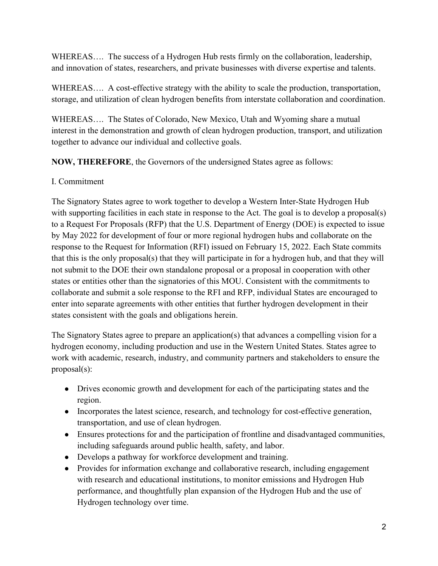WHEREAS.... The success of a Hydrogen Hub rests firmly on the collaboration, leadership, and innovation of states, researchers, and private businesses with diverse expertise and talents.

WHEREAS.... A cost-effective strategy with the ability to scale the production, transportation, storage, and utilization of clean hydrogen benefits from interstate collaboration and coordination.

WHEREAS…. The States of Colorado, New Mexico, Utah and Wyoming share a mutual interest in the demonstration and growth of clean hydrogen production, transport, and utilization together to advance our individual and collective goals.

**NOW, THEREFORE**, the Governors of the undersigned States agree as follows:

#### I. Commitment

The Signatory States agree to work together to develop a Western Inter-State Hydrogen Hub with supporting facilities in each state in response to the Act. The goal is to develop a proposal(s) to a Request For Proposals (RFP) that the U.S. Department of Energy (DOE) is expected to issue by May 2022 for development of four or more regional hydrogen hubs and collaborate on the response to the Request for Information (RFI) issued on February 15, 2022. Each State commits that this is the only proposal(s) that they will participate in for a hydrogen hub, and that they will not submit to the DOE their own standalone proposal or a proposal in cooperation with other states or entities other than the signatories of this MOU. Consistent with the commitments to collaborate and submit a sole response to the RFI and RFP, individual States are encouraged to enter into separate agreements with other entities that further hydrogen development in their states consistent with the goals and obligations herein.

The Signatory States agree to prepare an application(s) that advances a compelling vision for a hydrogen economy, including production and use in the Western United States. States agree to work with academic, research, industry, and community partners and stakeholders to ensure the proposal(s):

- Drives economic growth and development for each of the participating states and the region.
- Incorporates the latest science, research, and technology for cost-effective generation, transportation, and use of clean hydrogen.
- Ensures protections for and the participation of frontline and disadvantaged communities, including safeguards around public health, safety, and labor.
- Develops a pathway for workforce development and training.
- Provides for information exchange and collaborative research, including engagement with research and educational institutions, to monitor emissions and Hydrogen Hub performance, and thoughtfully plan expansion of the Hydrogen Hub and the use of Hydrogen technology over time.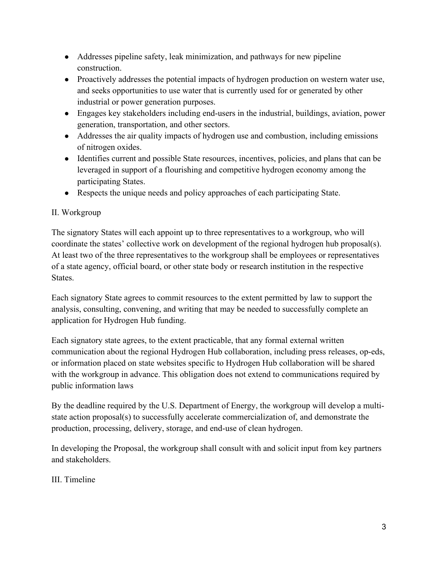- Addresses pipeline safety, leak minimization, and pathways for new pipeline construction.
- Proactively addresses the potential impacts of hydrogen production on western water use, and seeks opportunities to use water that is currently used for or generated by other industrial or power generation purposes.
- Engages key stakeholders including end-users in the industrial, buildings, aviation, power generation, transportation, and other sectors.
- Addresses the air quality impacts of hydrogen use and combustion, including emissions of nitrogen oxides.
- Identifies current and possible State resources, incentives, policies, and plans that can be leveraged in support of a flourishing and competitive hydrogen economy among the participating States.
- Respects the unique needs and policy approaches of each participating State.

#### II. Workgroup

The signatory States will each appoint up to three representatives to a workgroup, who will coordinate the states' collective work on development of the regional hydrogen hub proposal(s). At least two of the three representatives to the workgroup shall be employees or representatives of a state agency, official board, or other state body or research institution in the respective States.

Each signatory State agrees to commit resources to the extent permitted by law to support the analysis, consulting, convening, and writing that may be needed to successfully complete an application for Hydrogen Hub funding.

Each signatory state agrees, to the extent practicable, that any formal external written communication about the regional Hydrogen Hub collaboration, including press releases, op-eds, or information placed on state websites specific to Hydrogen Hub collaboration will be shared with the workgroup in advance. This obligation does not extend to communications required by public information laws

By the deadline required by the U.S. Department of Energy, the workgroup will develop a multistate action proposal(s) to successfully accelerate commercialization of, and demonstrate the production, processing, delivery, storage, and end-use of clean hydrogen.

In developing the Proposal, the workgroup shall consult with and solicit input from key partners and stakeholders.

### III. Timeline